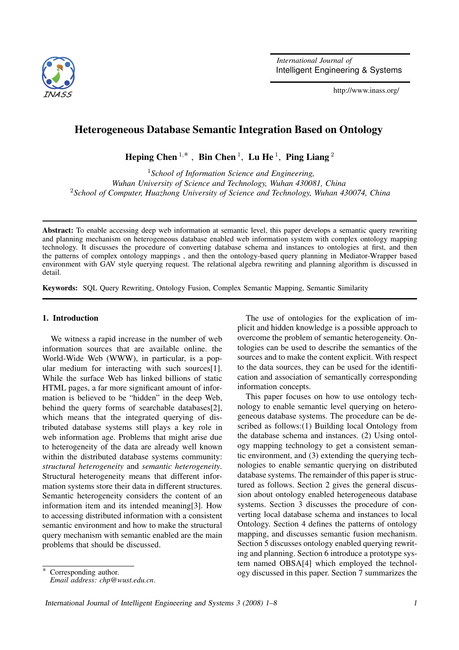

*International Journal of* Intelligent Engineering & Systems

http://www.inass.org/

# Heterogeneous Database Semantic Integration Based on Ontology

Heping Chen<sup>1,\*</sup>, Bin Chen<sup>1</sup>, Lu He<sup>1</sup>, Ping Liang<sup>2</sup>

<sup>1</sup>*School of Information Science and Engineering, Wuhan University of Science and Technology, Wuhan 430081, China* <sup>2</sup>*School of Computer, Huazhong University of Science and Technology, Wuhan 430074, China*

Abstract: To enable accessing deep web information at semantic level, this paper develops a semantic query rewriting and planning mechanism on heterogeneous database enabled web information system with complex ontology mapping technology. It discusses the procedure of converting database schema and instances to ontologies at first, and then the patterns of complex ontology mappings , and then the ontology-based query planning in Mediator-Wrapper based environment with GAV style querying request. The relational algebra rewriting and planning algorithm is discussed in detail.

Keywords: SQL Query Rewriting, Ontology Fusion, Complex Semantic Mapping, Semantic Similarity

#### 1. Introduction

We witness a rapid increase in the number of web information sources that are available online. the World-Wide Web (WWW), in particular, is a popular medium for interacting with such sources<sup>[1]</sup>. While the surface Web has linked billions of static HTML pages, a far more significant amount of information is believed to be "hidden" in the deep Web, behind the query forms of searchable databases[2], which means that the integrated querying of distributed database systems still plays a key role in web information age. Problems that might arise due to heterogeneity of the data are already well known within the distributed database systems community: *structural heterogeneity* and *semantic heterogeneity*. Structural heterogeneity means that different information systems store their data in different structures. Semantic heterogeneity considers the content of an information item and its intended meaning[3]. How to accessing distributed information with a consistent semantic environment and how to make the structural query mechanism with semantic enabled are the main problems that should be discussed.

The use of ontologies for the explication of implicit and hidden knowledge is a possible approach to overcome the problem of semantic heterogeneity. Ontologies can be used to describe the semantics of the sources and to make the content explicit. With respect to the data sources, they can be used for the identification and association of semantically corresponding information concepts.

This paper focuses on how to use ontology technology to enable semantic level querying on heterogeneous database systems. The procedure can be described as follows:(1) Building local Ontology from the database schema and instances. (2) Using ontology mapping technology to get a consistent semantic environment, and (3) extending the querying technologies to enable semantic querying on distributed database systems. The remainder of this paper is structured as follows. Section 2 gives the general discussion about ontology enabled heterogeneous database systems. Section 3 discusses the procedure of converting local database schema and instances to local Ontology. Section 4 defines the patterns of ontology mapping, and discusses semantic fusion mechanism. Section 5 discusses ontology enabled querying rewriting and planning. Section 6 introduce a prototype system named OBSA[4] which employed the technology discussed in this paper. Section 7 summarizes the

Corresponding author. *Email address: chp@wust.edu.cn*.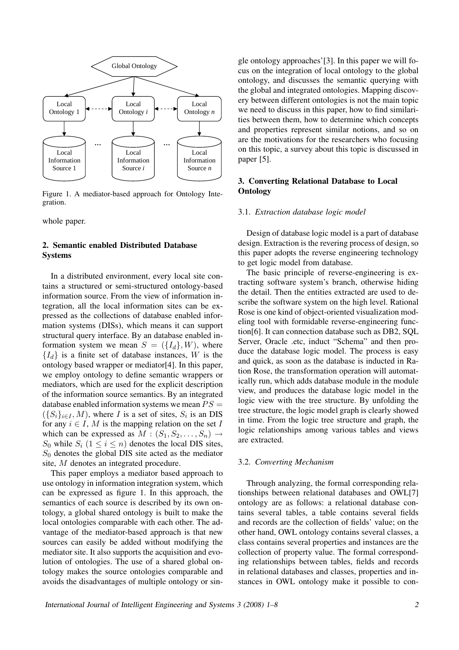

Figure 1. A mediator-based approach for Ontology Integration.

whole paper.

## 2. Semantic enabled Distributed Database Systems

In a distributed environment, every local site contains a structured or semi-structured ontology-based information source. From the view of information integration, all the local information sites can be expressed as the collections of database enabled information systems (DISs), which means it can support structural query interface. By an database enabled information system we mean  $S = (\{I_d\}, W)$ , where  ${I_d}$  is a finite set of database instances, W is the ontology based wrapper or mediator[4]. In this paper, we employ ontology to define semantic wrappers or mediators, which are used for the explicit description of the information source semantics. By an integrated database enabled information systems we mean  $PS =$  $(\{S_i\}_{i\in I}, M)$ , where I is a set of sites,  $S_i$  is an DIS for any  $i \in I$ , M is the mapping relation on the set I which can be expressed as  $M : (S_1, S_2, \ldots, S_n) \rightarrow$  $S_0$  while  $S_i$   $(1 \le i \le n)$  denotes the local DIS sites,  $S_0$  denotes the global DIS site acted as the mediator site, M denotes an integrated procedure.

This paper employs a mediator based approach to use ontology in information integration system, which can be expressed as figure 1. In this approach, the semantics of each source is described by its own ontology, a global shared ontology is built to make the local ontologies comparable with each other. The advantage of the mediator-based approach is that new sources can easily be added without modifying the mediator site. It also supports the acquisition and evolution of ontologies. The use of a shared global ontology makes the source ontologies comparable and avoids the disadvantages of multiple ontology or single ontology approaches'[3]. In this paper we will focus on the integration of local ontology to the global ontology, and discusses the semantic querying with the global and integrated ontologies. Mapping discovery between different ontologies is not the main topic we need to discuss in this paper, how to find similarities between them, how to determine which concepts and properties represent similar notions, and so on are the motivations for the researchers who focusing on this topic, a survey about this topic is discussed in paper [5].

## 3. Converting Relational Database to Local **Ontology**

#### 3.1. *Extraction database logic model*

Design of database logic model is a part of database design. Extraction is the revering process of design, so this paper adopts the reverse engineering technology to get logic model from database.

The basic principle of reverse-engineering is extracting software system's branch, otherwise hiding the detail. Then the entities extracted are used to describe the software system on the high level. Rational Rose is one kind of object-oriented visualization modeling tool with formidable reverse-engineering function[6]. It can connection database such as DB2, SQL Server, Oracle .etc, induct "Schema" and then produce the database logic model. The process is easy and quick, as soon as the database is inducted in Ration Rose, the transformation operation will automatically run, which adds database module in the module view, and produces the database logic model in the logic view with the tree structure. By unfolding the tree structure, the logic model graph is clearly showed in time. From the logic tree structure and graph, the logic relationships among various tables and views are extracted.

#### 3.2. *Converting Mechanism*

Through analyzing, the formal corresponding relationships between relational databases and OWL[7] ontology are as follows: a relational database contains several tables, a table contains several fields and records are the collection of fields' value; on the other hand, OWL ontology contains several classes, a class contains several properties and instances are the collection of property value. The formal corresponding relationships between tables, fields and records in relational databases and classes, properties and instances in OWL ontology make it possible to con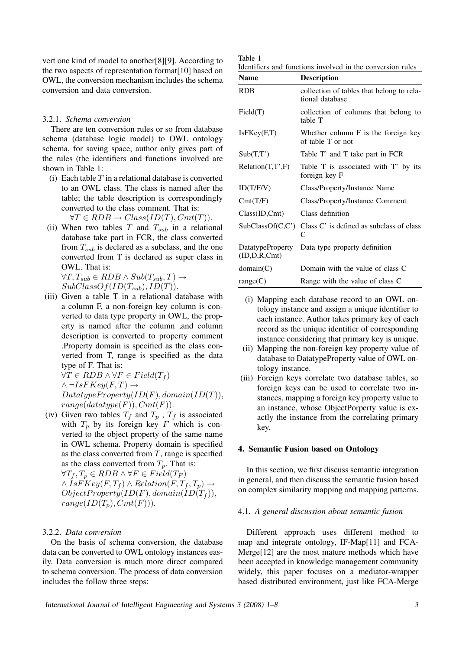vert one kind of model to another[8][9]. According to the two aspects of representation format[10] based on OWL, the conversion mechanism includes the schema conversion and data conversion.

#### 3.2.1. *Schema conversion*

There are ten conversion rules or so from database schema (database logic model) to OWL ontology schema, for saving space, author only gives part of the rules (the identifiers and functions involved are shown in Table 1:

(i) Each table  $T$  in a relational database is converted to an OWL class. The class is named after the table; the table description is correspondingly converted to the class comment. That is:

 $\forall T \in RDB \rightarrow Class(ID(T), Cmt(T)).$ 

(ii) When two tables T and  $T_{sub}$  in a relational database take part in FCR, the class converted from  $T_{sub}$  is declared as a subclass, and the one converted from T is declared as super class in OWL. That is:

 $\forall T, T_{sub} \in RDB \wedge Sub(T_{sub}, T) \rightarrow$  $SubClassOf(ID(T_{sub}), ID(T)).$ 

(iii) Given a table T in a relational database with a column F, a non-foreign key column is converted to data type property in OWL, the property is named after the column ,and column description is converted to property comment .Property domain is specified as the class converted from T, range is specified as the data type of F. That is:

 $\forall T \in RDB \land \forall F \in Field(T_f)$  $\wedge \neg IsFKev(F,T) \rightarrow$  $DatatypeProperty(ID(F), domain(ID(T)),$  $range(datatype(F)), Cmt(F)).$ 

(iv) Given two tables  $T_f$  and  $T_p$ ,  $T_f$  is associated with  $T_p$  by its foreign key F which is converted to the object property of the same name in OWL schema. Property domain is specified as the class converted from  $T$ , range is specified as the class converted from  $T_p$ . That is:

 $\forall T_f, T_n \in RDB \land \forall F \in Field(T_F)$  $\wedge IsFKey(F,T_f) \wedge Relation(F,T_f,T_p) \rightarrow$  $ObjectProperty(ID(F), domain(ID(T<sub>f</sub>)),$  $range(ID(T_p), Cmt(F))).$ 

## 3.2.2. *Data conversion*

On the basis of schema conversion, the database data can be converted to OWL ontology instances easily. Data conversion is much more direct compared to schema conversion. The process of data conversion includes the follow three steps:

| ۰,<br>$\sim$<br>× |  |
|-------------------|--|
|-------------------|--|

Identifiers and functions involved in the conversion rules

| <b>Name</b>                             | <b>Description</b>                                           |
|-----------------------------------------|--------------------------------------------------------------|
| <b>RDB</b>                              | collection of tables that belong to rela-<br>tional database |
| Field(T)                                | collection of columns that belong to<br>table T              |
| IsFKey(F,T)                             | Whether column $F$ is the foreign key<br>of table T or not   |
| Sub(T,T')                               | Table T' and T take part in FCR                              |
| Relation(T, T', F)                      | Table T is associated with T' by its<br>foreign key F        |
| ID(T/F/V)                               | Class/Property/Instance Name                                 |
| Cmt(T/F)                                | Class/Property/Instance Comment                              |
| Class(ID, Cmt)                          | Class definition                                             |
| SubClassOf(C, C')                       | Class C' is defined as subclass of class<br>C                |
| <b>DatatypeProperty</b><br>(ID,D,R,Cmt) | Data type property definition                                |
| domain(C)                               | Domain with the value of class C                             |
| range(C)                                | Range with the value of class C                              |

- (i) Mapping each database record to an OWL ontology instance and assign a unique identifier to each instance. Author takes primary key of each record as the unique identifier of corresponding instance considering that primary key is unique.
- (ii) Mapping the non-foreign key property value of database to DatatypeProperty value of OWL ontology instance.
- (iii) Foreign keys correlate two database tables, so foreign keys can be used to correlate two instances, mapping a foreign key property value to an instance, whose ObjectPorperty value is exactly the instance from the correlating primary key.

#### 4. Semantic Fusion based on Ontology

In this section, we first discuss semantic integration in general, and then discuss the semantic fusion based on complex similarity mapping and mapping patterns.

#### 4.1. *A general discussion about semantic fusion*

Different approach uses different method to map and integrate ontology, IF-Map[11] and FCA-Merge[12] are the most mature methods which have been accepted in knowledge management community widely, this paper focuses on a mediator-wrapper based distributed environment, just like FCA-Merge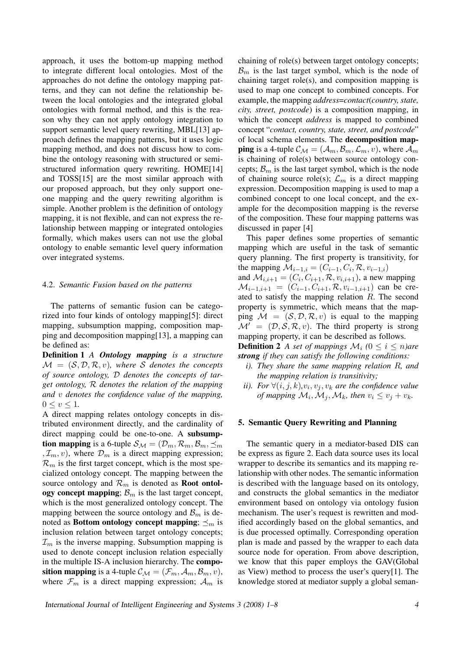approach, it uses the bottom-up mapping method to integrate different local ontologies. Most of the approaches do not define the ontology mapping patterns, and they can not define the relationship between the local ontologies and the integrated global ontologies with formal method, and this is the reason why they can not apply ontology integration to support semantic level query rewriting, MBL[13] approach defines the mapping patterns, but it uses logic mapping method, and does not discuss how to combine the ontology reasoning with structured or semistructured information query rewriting. HOME[14] and TOSS[15] are the most similar approach with our proposed approach, but they only support oneone mapping and the query rewriting algorithm is simple. Another problem is the definition of ontology mapping, it is not flexible, and can not express the relationship between mapping or integrated ontologies formally, which makes users can not use the global ontology to enable semantic level query information over integrated systems.

#### 4.2. *Semantic Fusion based on the patterns*

The patterns of semantic fusion can be categorized into four kinds of ontology mapping[5]: direct mapping, subsumption mapping, composition mapping and decomposition mapping[13], a mapping can be defined as:

Definition 1 *A Ontology mapping is a structure*  $\mathcal{M} = (\mathcal{S}, \mathcal{D}, \mathcal{R}, v)$ , where S denotes the concepts *of source ontology,* D *denotes the concepts of target ontology,* R *denotes the relation of the mapping and* v *denotes the confidence value of the mapping,*  $0 \leq v \leq 1$ .

A direct mapping relates ontology concepts in distributed environment directly, and the cardinality of direct mapping could be one-to-one. A subsumption mapping is a 6-tuple  $S_M = (\mathcal{D}_m, \mathcal{R}_m, \mathcal{B}_m, \preceq_m)$  $, \mathcal{I}_m, v$ , where  $\mathcal{D}_m$  is a direct mapping expression;  $\mathcal{R}_m$  is the first target concept, which is the most specialized ontology concept. The mapping between the source ontology and  $\mathcal{R}_m$  is denoted as **Root ontol**ogy concept mapping;  $\mathcal{B}_m$  is the last target concept, which is the most generalized ontology concept. The mapping between the source ontology and  $\mathcal{B}_m$  is denoted as **Bottom ontology concept mapping**;  $\preceq_m$  is inclusion relation between target ontology concepts;  $\mathcal{I}_m$  is the inverse mapping. Subsumption mapping is used to denote concept inclusion relation especially in the multiple IS-A inclusion hierarchy. The composition mapping is a 4-tuple  $\mathcal{C}_{\mathcal{M}} = (\mathcal{F}_m, \mathcal{A}_m, \mathcal{B}_m, v),$ where  $\mathcal{F}_m$  is a direct mapping expression;  $\mathcal{A}_m$  is

chaining of role(s) between target ontology concepts;  $\mathcal{B}_m$  is the last target symbol, which is the node of chaining target role(s), and composition mapping is used to map one concept to combined concepts. For example, the mapping *address*=*contact*(*country, state, city, street, postcode*) is a composition mapping, in which the concept *address* is mapped to combined concept "*contact, country, state, street, and postcode*" of local schema elements. The decomposition map**ping** is a 4-tuple  $\mathcal{C}_{\mathcal{M}} = (\mathcal{A}_m, \mathcal{B}_m, \mathcal{L}_m, v)$ , where  $\mathcal{A}_m$ is chaining of role(s) between source ontology concepts;  $\mathcal{B}_m$  is the last target symbol, which is the node of chaining source role(s);  $\mathcal{L}_m$  is a direct mapping expression. Decomposition mapping is used to map a combined concept to one local concept, and the example for the decomposition mapping is the reverse of the composition. These four mapping patterns was discussed in paper [4]

This paper defines some properties of semantic mapping which are useful in the task of semantic query planning. The first property is transitivity, for the mapping  $\mathcal{M}_{i-1,i} = (C_{i-1}, C_i, \mathcal{R}, v_{i-1,i})$ and  $\mathcal{M}_{i,i+1} = (C_i, C_{i+1}, \mathcal{R}, v_{i,i+1})$ , a new mapping  $\mathcal{M}_{i-1,i+1} = (C_{i-1}, C_{i+1}, \mathcal{R}, v_{i-1,i+1})$  can be created to satisfy the mapping relation R. The second property is symmetric, which means that the mapping  $\mathcal{M} = (\mathcal{S}, \mathcal{D}, \mathcal{R}, v)$  is equal to the mapping  $\mathcal{M}' = (\mathcal{D}, \mathcal{S}, \mathcal{R}, v)$ . The third property is strong mapping property, it can be described as follows. **Definition 2** *A set of mappings*  $\mathcal{M}_i$  *(*0  $\leq$  *i*  $\leq$  *n*)*are* 

*strong if they can satisfy the following conditions:*

- *i). They share the same mapping relation* R*, and the mapping relation is transitivity;*
- *ii*). For  $\forall (i, j, k), v_i, v_j, v_k$  are the confidence value *of mapping*  $\mathcal{M}_i$ ,  $\mathcal{M}_j$ ,  $\mathcal{M}_k$ , then  $v_i \le v_j + v_k$ .

### 5. Semantic Query Rewriting and Planning

The semantic query in a mediator-based DIS can be express as figure 2. Each data source uses its local wrapper to describe its semantics and its mapping relationship with other nodes. The semantic information is described with the language based on its ontology, and constructs the global semantics in the mediator environment based on ontology via ontology fusion mechanism. The user's request is rewritten and modified accordingly based on the global semantics, and is due processed optimally. Corresponding operation plan is made and passed by the wrapper to each data source node for operation. From above description, we know that this paper employs the GAV(Global as View) method to process the user's query[1]. The knowledge stored at mediator supply a global seman-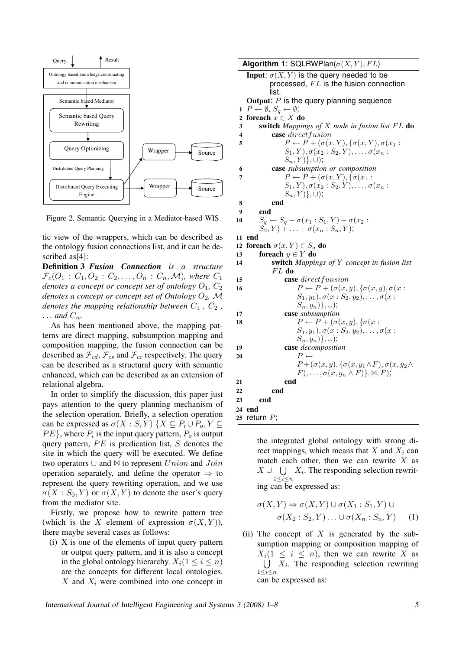

Figure 2. Semantic Querying in a Mediator-based WIS

tic view of the wrappers, which can be described as the ontology fusion connections list, and it can be described as<sup>[4]</sup>:

Definition 3 *Fusion Connection is a structure*  $\mathcal{F}_c(O_1 : C_1, O_2 : C_2, \ldots, O_n : C_n, \mathcal{M})$ , where  $C_1$ *denotes a concept or concept set of ontology*  $O_1$ ,  $C_2$ *denotes a concept or concept set of Ontology*  $O_2$ , M *denotes the mapping relationship between*  $C_1$ ,  $C_2$ ,  $\ldots$  and  $C_n$ .

As has been mentioned above, the mapping patterns are direct mapping, subsumption mapping and composition mapping, the fusion connection can be described as  $\mathcal{F}_{cd}$ ,  $\mathcal{F}_{cs}$  and  $\mathcal{F}_{cc}$  respectively. The query can be described as a structural query with semantic enhanced, which can be described as an extension of relational algebra.

In order to simplify the discussion, this paper just pays attention to the query planning mechanism of the selection operation. Briefly, a selection operation can be expressed as  $\sigma(X : S, Y)$   $\{X \subseteq P_i \cup P_o, Y \subseteq$  $PE$ }, where  $P_i$  is the input query pattern,  $P_o$  is output query pattern,  $PE$  is predication list,  $S$  denotes the site in which the query will be executed. We define two operators  $\cup$  and  $\bowtie$  to represent  $Union$  and  $Join$ operation separately, and define the operator  $\Rightarrow$  to represent the query rewriting operation, and we use  $\sigma(X: S_0, Y)$  or  $\sigma(X, Y)$  to denote the user's query from the mediator site.

Firstly, we propose how to rewrite pattern tree (which is the X element of expression  $\sigma(X, Y)$ ), there maybe several cases as follows:

(i) X is one of the elements of input query pattern or output query pattern, and it is also a concept in the global ontology hierarchy.  $X_i(1 \leq i \leq n)$ are the concepts for different local ontologies.  $X$  and  $X_i$  were combined into one concept in

**Algorithm 1:** SQLRWPlan( $\sigma(X, Y)$ , FL) **Input:**  $\sigma(X, Y)$  is the query needed to be processed,  $FL$  is the fusion connection list. **Output:**  $P$  is the query planning sequence  $1 \ P \leftarrow \emptyset$ ,  $S_q \leftarrow \emptyset$ ; 2 foreach  $x \in X$ do 3 switch *Mappings of* X *node in fusion list* F L do 4 case direct fusion 5  $P \leftarrow P + (\sigma(x, Y), \{\sigma(x, Y), \sigma(x_1 :$  $S_1, Y), \sigma(x_2 : S_2, Y), \ldots, \sigma(x_n :$  $S_n, Y$ }, ∪); 6 case *subsumption or composition* 7  $P \leftarrow P + (\sigma(x, Y), \{\sigma(x_1 :$  $S_1, Y), \sigma(x_2 : S_2, Y), \ldots, \sigma(x_n : S_n)$  $S_n, Y) \}, \cup);$ 8 end 9 end 10  $S_q \leftarrow S_q + \sigma(x_1 : S_1, Y) + \sigma(x_2 :$  $S_2, Y) + \ldots + \sigma(x_n : S_n, Y);$ 11 end 12 foreach  $\sigma(x, Y) \in S_q$  do 13 foreach  $y \in Y$  do 14 switch *Mappings of* Y *concept in fusion list*  $FL$  do 15 case direct funsion 16  $P \leftarrow P + (\sigma(x, y), \{\sigma(x, y), \sigma(x \cdot$  $S_1, y_1), \sigma(x: S_2, y_2), \ldots, \sigma(x:$  $S_n, y_n)$ , ∪); 17 case *subsumption* 18  $P \leftarrow P + (\sigma(x, y), \{\sigma(x:$  $S_1, y_1), \sigma(x: S_2, y_2), \ldots, \sigma(x:$  $S_n, y_n)$ , ∪); 19 case *decomposition* 20  $P \leftarrow$  $P + (\sigma(x, y), \{\sigma(x, y_1 \wedge F), \sigma(x, y_2 \wedge$  $(F), \ldots, \sigma(x, y_n \wedge F) \}, \bowtie, F);$ 21 end 22 end 23 end 24 end 25 return  $P$ ;

> the integrated global ontology with strong direct mappings, which means that  $X$  and  $X_i$  can match each other, then we can rewrite  $X$  as  $X \cup \bigcup X_i$ . The responding selection rewrit- $1\leq i\leq n$ ing can be expressed as:

$$
\sigma(X, Y) \Rightarrow \sigma(X, Y) \cup \sigma(X_1 : S_1, Y) \cup \sigma(X_2 : S_2, Y) \dots \cup \sigma(X_n : S_n, Y) \quad (1)
$$

(ii) The concept of  $X$  is generated by the subsumption mapping or composition mapping of  $X_i(1 \leq i \leq n)$ , then we can rewrite X as  $1\leq i\leq n$  $X_i$ . The responding selection rewriting can be expressed as: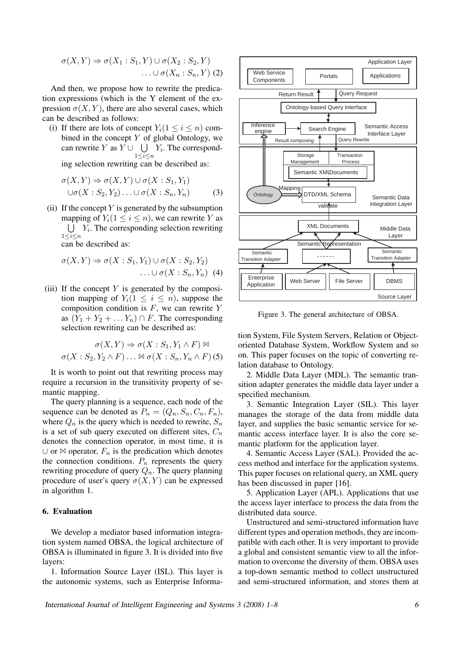$$
\sigma(X,Y) \Rightarrow \sigma(X_1 : S_1, Y) \cup \sigma(X_2 : S_2, Y) \dots \cup \sigma(X_n : S_n, Y) (2)
$$

And then, we propose how to rewrite the predication expressions (which is the Y element of the expression  $\sigma(X, Y)$ , there are also several cases, which can be described as follows:

(i) If there are lots of concept  $Y_i(1 \leq i \leq n)$  combined in the concept  $Y$  of global Ontology, we can rewrite Y as  $Y \cup \bigcup Y_i$ . The correspond- $1\leq i\leq n$ 

ing selection rewriting can be described as:

$$
\sigma(X, Y) \Rightarrow \sigma(X, Y) \cup \sigma(X : S_1, Y_1)
$$
  

$$
\cup \sigma(X : S_2, Y_2) \dots \cup \sigma(X : S_n, Y_n)
$$
 (3)

(ii) If the concept  $Y$  is generated by the subsumption mapping of  $Y_i(1 \leq i \leq n)$ , we can rewrite Y as  $1\leq i\leq n$  $Y_i$ . The corresponding selection rewriting can be described as:

$$
\sigma(X,Y) \Rightarrow \sigma(X:S_1,Y_1) \cup \sigma(X:S_2,Y_2) \dots \cup \sigma(X:S_n,Y_n)
$$
 (4)

(iii) If the concept  $Y$  is generated by the composition mapping of  $Y_i(1 \leq i \leq n)$ , suppose the composition condition is  $F$ , we can rewrite  $Y$ as  $(Y_1 + Y_2 + \ldots Y_n) \cap F$ . The corresponding selection rewriting can be described as:

$$
\sigma(X, Y) \Rightarrow \sigma(X: S_1, Y_1 \wedge F) \bowtie
$$
  

$$
\sigma(X: S_2, Y_2 \wedge F) \dots \bowtie \sigma(X: S_n, Y_n \wedge F)
$$
(5)

It is worth to point out that rewriting process may require a recursion in the transitivity property of semantic mapping.

The query planning is a sequence, each node of the sequence can be denoted as  $P_n = (Q_n, S_n, C_n, F_n)$ , where  $Q_n$  is the query which is needed to rewrite,  $S_n$ is a set of sub query executed on different sites,  $C_n$ denotes the connection operator, in most time, it is  $\cup$  or  $\bowtie$  operator,  $F_n$  is the predication which denotes the connection conditions.  $P_n$  represents the query rewriting procedure of query  $Q_n$ . The query planning procedure of user's query  $\sigma(X, Y)$  can be expressed in algorithm 1.

#### 6. Evaluation

We develop a mediator based information integration system named OBSA, the logical architecture of OBSA is illuminated in figure 3. It is divided into five layers:

1. Information Source Layer (ISL). This layer is the autonomic systems, such as Enterprise Informa-



Figure 3. The general architecture of OBSA.

tion System, File System Servers, Relation or Objectoriented Database System, Workflow System and so on. This paper focuses on the topic of converting relation database to Ontology.

2. Middle Data Layer (MDL). The semantic transition adapter generates the middle data layer under a specified mechanism.

3. Semantic Integration Layer (SIL). This layer manages the storage of the data from middle data layer, and supplies the basic semantic service for semantic access interface layer. It is also the core semantic platform for the application layer.

4. Semantic Access Layer (SAL). Provided the access method and interface for the application systems. This paper focuses on relational query, an XML query has been discussed in paper [16].

5. Application Layer (APL). Applications that use the access layer interface to process the data from the distributed data source.

Unstructured and semi-structured information have different types and operation methods, they are incompatible with each other. It is very important to provide a global and consistent semantic view to all the information to overcome the diversity of them. OBSA uses a top-down semantic method to collect unstructured and semi-structured information, and stores them at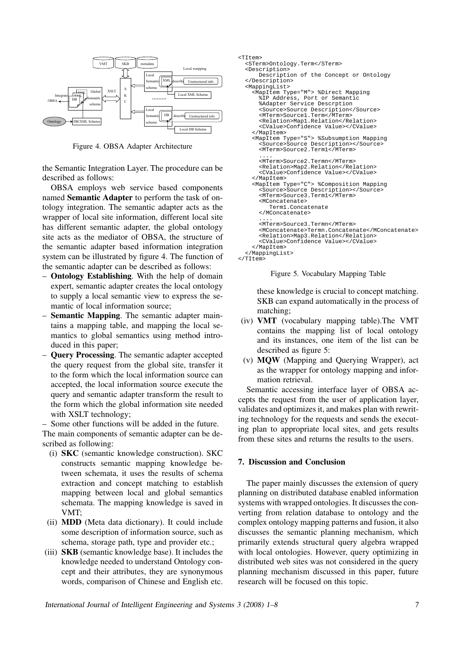

Figure 4. OBSA Adapter Architecture

the Semantic Integration Layer. The procedure can be described as follows:

OBSA employs web service based components named Semantic Adapter to perform the task of ontology integration. The semantic adapter acts as the wrapper of local site information, different local site has different semantic adapter, the global ontology site acts as the mediator of OBSA, the structure of the semantic adapter based information integration system can be illustrated by figure 4. The function of the semantic adapter can be described as follows:

- Ontology Establishing. With the help of domain expert, semantic adapter creates the local ontology to supply a local semantic view to express the semantic of local information source;
- Semantic Mapping. The semantic adapter maintains a mapping table, and mapping the local semantics to global semantics using method introduced in this paper;
- Query Processing. The semantic adapter accepted the query request from the global site, transfer it to the form which the local information source can accepted, the local information source execute the query and semantic adapter transform the result to the form which the global information site needed with XSLT technology;

– Some other functions will be added in the future. The main components of semantic adapter can be described as following:

- (i) SKC (semantic knowledge construction). SKC constructs semantic mapping knowledge between schemata, it uses the results of schema extraction and concept matching to establish mapping between local and global semantics schemata. The mapping knowledge is saved in VMT;
- (ii) MDD (Meta data dictionary). It could include some description of information source, such as schema, storage path, type and provider etc.;
- (iii) SKB (semantic knowledge base). It includes the knowledge needed to understand Ontology concept and their attributes, they are synonymous words, comparison of Chinese and English etc.

```
\epsilonTTtem>
  <STerm>Ontology.Term</STerm>
   <Description>
       Description of the Concept or Ontology
   </Description>
   <MappingList>
     <MapItem Type="M"> %Direct Mapping
       %IP Address, Port or Semantic 
       %Adapter Service Descrption
 <Source>Source Description</Source>
 <MTerm>Source1.Term</MTerm>
       <Relation>Map1.Relation</Relation>
       <CValue>Confidence Value></CValue>
     </MapItem>
     <MapItem Type="S"> %Subsumption Mapping
       <Source>Source Description></Source>
       <MTerm>Source2.Term1</MTerm>
 ....
       <MTerm>Source2.Termn</MTerm>
       <Relation>Map2.Relation</Relation>
       <CValue>Confidence Value></CValue>
     </MapItem>
     <MapItem Type="C"> %Composition Mapping
       <Source>Source Description></Source>
       <MTerm>Source3.Term1</MTerm>
       <MConcatenate>
          Term1.Concatenate
       </MConcatenate>
 ....
       <MTerm>Source3.Termn</MTerm>
       <MConcatenate>Termn.Concatenate</MConcatenate>
       <Relation>Map3.Relation</Relation>
       <CValue>Confidence Value></CValue>
     </MapItem>
   </MappingList>
</TItem>
```
Figure 5. Vocabulary Mapping Table

these knowledge is crucial to concept matching. SKB can expand automatically in the process of matching;

- (iv) VMT (vocabulary mapping table).The VMT contains the mapping list of local ontology and its instances, one item of the list can be described as figure 5:
- (v) MQW (Mapping and Querying Wrapper), act as the wrapper for ontology mapping and information retrieval.

Semantic accessing interface layer of OBSA accepts the request from the user of application layer, validates and optimizes it, and makes plan with rewriting technology for the requests and sends the executing plan to appropriate local sites, and gets results from these sites and returns the results to the users.

## 7. Discussion and Conclusion

The paper mainly discusses the extension of query planning on distributed database enabled information systems with wrapped ontologies. It discusses the converting from relation database to ontology and the complex ontology mapping patterns and fusion, it also discusses the semantic planning mechanism, which primarily extends structural query algebra wrapped with local ontologies. However, query optimizing in distributed web sites was not considered in the query planning mechanism discussed in this paper, future research will be focused on this topic.